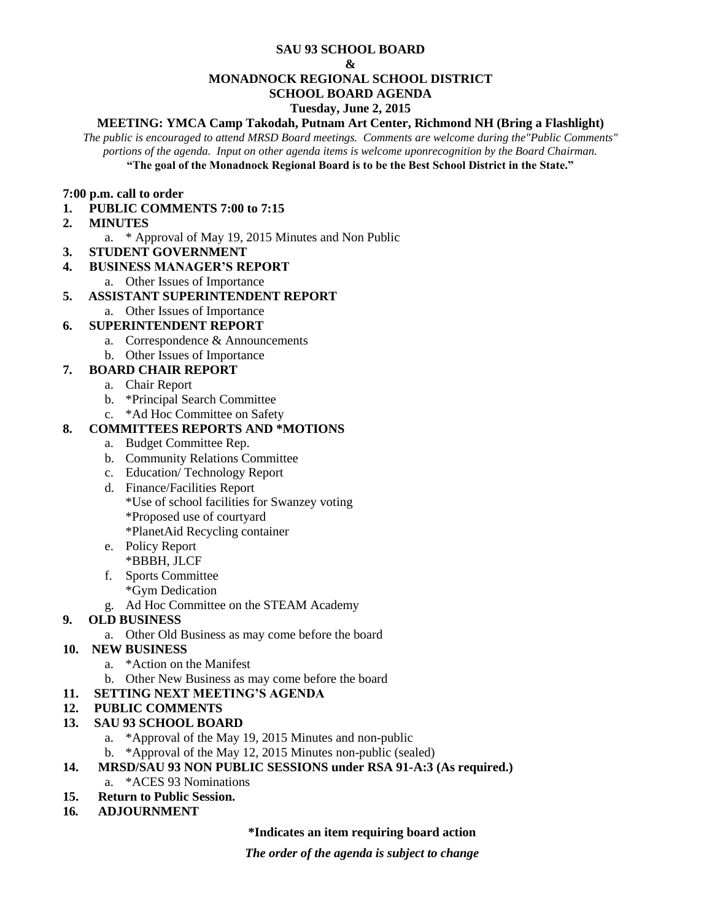#### **SAU 93 SCHOOL BOARD**

#### **&**

#### **MONADNOCK REGIONAL SCHOOL DISTRICT**

### **SCHOOL BOARD AGENDA**

### **Tuesday, June 2, 2015**

# **MEETING: YMCA Camp Takodah, Putnam Art Center, Richmond NH (Bring a Flashlight)**

*The public is encouraged to attend MRSD Board meetings. Comments are welcome during the"Public Comments" portions of the agenda. Input on other agenda items is welcome uponrecognition by the Board Chairman.* **"The goal of the Monadnock Regional Board is to be the Best School District in the State."**

#### **7:00 p.m. call to order**

- **1. PUBLIC COMMENTS 7:00 to 7:15**
- **2. MINUTES** 
	- a. \* Approval of May 19, 2015 Minutes and Non Public
- **3. STUDENT GOVERNMENT**
- **4. BUSINESS MANAGER'S REPORT** 
	- a. Other Issues of Importance

# **5. ASSISTANT SUPERINTENDENT REPORT**

a. Other Issues of Importance

# **6. SUPERINTENDENT REPORT**

- a. Correspondence & Announcements
- b. Other Issues of Importance

# **7. BOARD CHAIR REPORT**

- a. Chair Report
- b. \*Principal Search Committee
- c. \*Ad Hoc Committee on Safety

# **8. COMMITTEES REPORTS AND \*MOTIONS**

- a. Budget Committee Rep.
- b. Community Relations Committee
- c. Education/ Technology Report
- d. Finance/Facilities Report
	- \*Use of school facilities for Swanzey voting
	- \*Proposed use of courtyard
	- \*PlanetAid Recycling container
- e. Policy Report \*BBBH, JLCF
- f. Sports Committee
	- \*Gym Dedication
- g. Ad Hoc Committee on the STEAM Academy

# **9. OLD BUSINESS**

a. Other Old Business as may come before the board

# **10. NEW BUSINESS**

- a. \*Action on the Manifest
- b. Other New Business as may come before the board
- **11. SETTING NEXT MEETING'S AGENDA**
- **12. PUBLIC COMMENTS**

# **13. SAU 93 SCHOOL BOARD**

- a. \*Approval of the May 19, 2015 Minutes and non-public
- b. \*Approval of the May 12, 2015 Minutes non-public (sealed)
- **14. MRSD/SAU 93 NON PUBLIC SESSIONS under RSA 91-A:3 (As required.)** a. \*ACES 93 Nominations
- **15. Return to Public Session.**
- **16***.* **ADJOURNMENT**

# **\*Indicates an item requiring board action**

*The order of the agenda is subject to change*